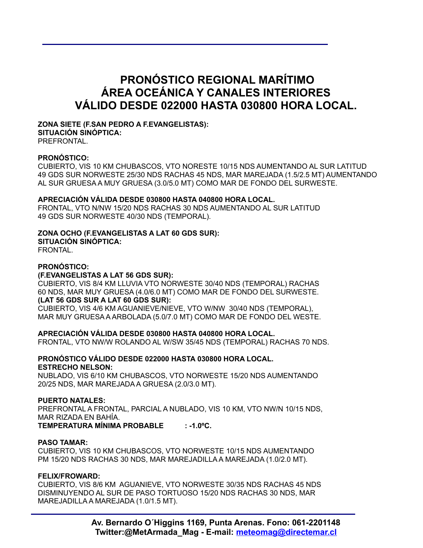# **PRONÓSTICO REGIONAL MARÍTIMO ÁREA OCEÁNICA Y CANALES INTERIORES VÁLIDO DESDE 022000 HASTA 030800 HORA LOCAL.**

#### **ZONA SIETE (F.SAN PEDRO A F.EVANGELISTAS): SITUACIÓN SINÓPTICA:**

PREFRONTAL.

## **PRONÓSTICO:**

CUBIERTO, VIS 10 KM CHUBASCOS, VTO NORESTE 10/15 NDS AUMENTANDO AL SUR LATITUD 49 GDS SUR NORWESTE 25/30 NDS RACHAS 45 NDS, MAR MAREJADA (1.5/2.5 MT) AUMENTANDO AL SUR GRUESA A MUY GRUESA (3.0/5.0 MT) COMO MAR DE FONDO DEL SURWESTE.

## **APRECIACIÓN VÁLIDA DESDE 030800 HASTA 040800 HORA LOCAL.**

FRONTAL, VTO N/NW 15/20 NDS RACHAS 30 NDS AUMENTANDO AL SUR LATITUD 49 GDS SUR NORWESTE 40/30 NDS (TEMPORAL).

# **ZONA OCHO (F.EVANGELISTAS A LAT 60 GDS SUR):**

**SITUACIÓN SINÓPTICA:**

# FRONTAL.

# **PRONÓSTICO:**

## **(F.EVANGELISTAS A LAT 56 GDS SUR):**

CUBIERTO, VIS 8/4 KM LLUVIA VTO NORWESTE 30/40 NDS (TEMPORAL) RACHAS 60 NDS, MAR MUY GRUESA (4.0/6.0 MT) COMO MAR DE FONDO DEL SURWESTE. **(LAT 56 GDS SUR A LAT 60 GDS SUR):** 

CUBIERTO, VIS 4/6 KM AGUANIEVE/NIEVE, VTO W/NW 30/40 NDS (TEMPORAL), MAR MUY GRUESA A ARBOLADA (5.0/7.0 MT) COMO MAR DE FONDO DEL WESTE.

## **APRECIACIÓN VÁLIDA DESDE 030800 HASTA 040800 HORA LOCAL.**

FRONTAL, VTO NW/W ROLANDO AL W/SW 35/45 NDS (TEMPORAL) RACHAS 70 NDS.

# **PRONÓSTICO VÁLIDO DESDE 022000 HASTA 030800 HORA LOCAL. ESTRECHO NELSON:**

NUBLADO, VIS 6/10 KM CHUBASCOS, VTO NORWESTE 15/20 NDS AUMENTANDO 20/25 NDS, MAR MAREJADA A GRUESA (2.0/3.0 MT).

## **PUERTO NATALES:**

PREFRONTAL A FRONTAL, PARCIAL A NUBLADO, VIS 10 KM, VTO NW/N 10/15 NDS, MAR RIZADA EN BAHÍA.

**TEMPERATURA MÍNIMA PROBABLE : -1.0ºC.**

## **PASO TAMAR:**

CUBIERTO, VIS 10 KM CHUBASCOS, VTO NORWESTE 10/15 NDS AUMENTANDO PM 15/20 NDS RACHAS 30 NDS, MAR MAREJADILLA A MAREJADA (1.0/2.0 MT).

## **FELIX/FROWARD:**

CUBIERTO, VIS 8/6 KM AGUANIEVE, VTO NORWESTE 30/35 NDS RACHAS 45 NDS DISMINUYENDO AL SUR DE PASO TORTUOSO 15/20 NDS RACHAS 30 NDS, MAR MAREJADILLA A MAREJADA (1.0/1.5 MT).